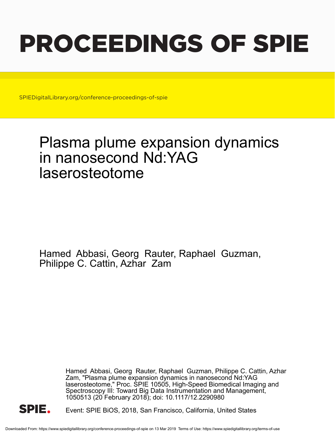# PROCEEDINGS OF SPIE

SPIEDigitalLibrary.org/conference-proceedings-of-spie

## Plasma plume expansion dynamics in nanosecond Nd:YAG laserosteotome

Hamed Abbasi, Georg Rauter, Raphael Guzman, Philippe C. Cattin, Azhar Zam

> Hamed Abbasi, Georg Rauter, Raphael Guzman, Philippe C. Cattin, Azhar Zam, "Plasma plume expansion dynamics in nanosecond Nd:YAG laserosteotome," Proc. SPIE 10505, High-Speed Biomedical Imaging and Spectroscopy III: Toward Big Data Instrumentation and Management, 1050513 (20 February 2018); doi: 10.1117/12.2290980



Event: SPIE BiOS, 2018, San Francisco, California, United States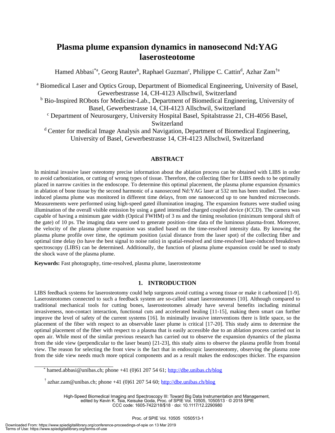### **Plasma plume expansion dynamics in nanosecond Nd:YAG laserosteotome**

Hamed Abbasi<sup>\*a</sup>, Georg Rauter<sup>b</sup>, Raphael Guzman<sup>c</sup>, Philippe C. Cattin<sup>d</sup>, Azhar Zam<sup>†a</sup>

<sup>a</sup> Biomedical Laser and Optics Group, Department of Biomedical Engineering, University of Basel, Gewerbestrasse 14, CH-4123 Allschwil, Switzerland <sup>b</sup> Bio-Inspired RObots for Medicine-Lab., Department of Biomedical Engineering, University of Basel, Gewerbestrasse 14, CH-4123 Allschwil, Switzerland <sup>c</sup> Department of Neurosurgery, University Hospital Basel, Spitalstrasse 21, CH-4056 Basel, Switzerland <sup>d</sup> Center for medical Image Analysis and Navigation, Department of Biomedical Engineering, University of Basel, Gewerbestrasse 14, CH-4123 Allschwil, Switzerland

#### **ABSTRACT**

In minimal invasive laser osteotomy precise information about the ablation process can be obtained with LIBS in order to avoid carbonization, or cutting of wrong types of tissue. Therefore, the collecting fiber for LIBS needs to be optimally placed in narrow cavities in the endoscope. To determine this optimal placement, the plasma plume expansion dynamics in ablation of bone tissue by the second harmonic of a nanosecond Nd:YAG laser at 532 nm has been studied. The laserinduced plasma plume was monitored in different time delays, from one nanosecond up to one hundred microseconds. Measurements were performed using high-speed gated illumination imaging. The expansion features were studied using illumination of the overall visible emission by using a gated intensified charged coupled device (ICCD). The camera was capable of having a minimum gate width (Optical FWHM) of 3 ns and the timing resolution (minimum temporal shift of the gate) of 10 ps. The imaging data were used to generate position–time data of the luminous plasma-front. Moreover, the velocity of the plasma plume expansion was studied based on the time-resolved intensity data. By knowing the plasma plume profile over time, the optimum position (axial distance from the laser spot) of the collecting fiber and optimal time delay (to have the best signal to noise ratio) in spatial-resolved and time-resolved laser-induced breakdown spectroscopy (LIBS) can be determined. Additionally, the function of plasma plume expansion could be used to study the shock wave of the plasma plume.

**Keywords:** Fast photography, time-resolved, plasma plume, laserosteotome

#### **1. INTRODUCTION**

LIBS feedback systems for laserosteotomy could help surgeons avoid cutting a wrong tissue or make it carbonized [1-9]. Laserosteotomes connected to such a feedback system are so-called smart laserosteotomes [10]. Although compared to traditional mechanical tools for cutting bones, laserosteotomes already have several benefits including minimal invasiveness, non-contact interaction, functional cuts and accelerated healing [11-15], making them smart can further improve the level of safety of the current systems [16]. In minimally invasive interventions there is little space, so the placement of the fiber with respect to an observable laser plume is critical [17-20]. This study aims to determine the optimal placement of the fiber with respect to a plasma that is easily accessible due to an ablation process carried out in open air. While most of the similar previous research has carried out to observe the expansion dynamics of the plasma from the side view (perpendicular to the laser beam) [21-23], this study aims to observe the plasma profile from frontal view. The reason for selecting the front view is the fact that in endoscopic laserosteotomy, observing the plasma zone from the side view needs much more optical components and as a result makes the endoscopes thicker. The expansion

High-Speed Biomedical Imaging and Spectroscopy III: Toward Big Data Instrumentation and Management, edited by Kevin K. Tsia, Keisuke Goda, Proc. of SPIE Vol. 10505, 1050513 · © 2018 SPIE CCC code: 1605-7422/18/\$18 · doi: 10.1117/12.2290980

hamed.abbasi@unibas.ch; phone +41 (0)61 207 54 61; http://dbe.unibas.ch/blog

<sup>&</sup>lt;sup>†</sup> azhar.zam@unibas.ch; phone +41 (0)61 207 54 60; http://dbe.unibas.ch/blog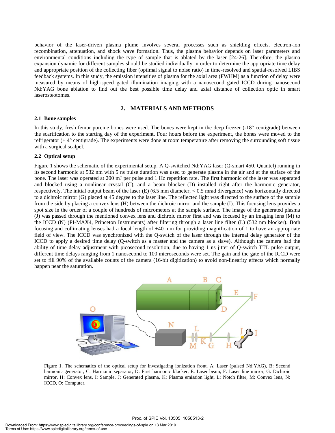behavior of the laser-driven plasma plume involves several processes such as shielding effects, electron-ion recombination, attenuation, and shock wave formation. Thus, the plasma behavior depends on laser parameters and environmental conditions including the type of sample that is ablated by the laser [24-26]. Therefore, the plasma expansion dynamic for different samples should be studied individually in order to determine the appropriate time delay and appropriate position of the collecting fiber (optimal signal to noise ratio) in time-resolved and spatial-resolved LIBS feedback systems. In this study, the emission intensities of plasma for the axial area (FWHM) as a function of delay were measured by means of high-speed gated illumination imaging with a nanosecond gated ICCD during nanosecond Nd:YAG bone ablation to find out the best possible time delay and axial distance of collection optic in smart laserosteotomes.

#### **2. MATERIALS AND METHODS**

#### **2.1 Bone samples**

In this study, fresh femur porcine bones were used. The bones were kept in the deep freezer (-18° centigrade) between the scarification to the starting day of the experiment. Four hours before the experiment, the bones were moved to the refrigerator (+ 4° centigrade). The experiments were done at room temperature after removing the surrounding soft tissue with a surgical scalpel.

#### **2.2 Optical setup**

Figure 1 shows the schematic of the experimental setup. A Q-switched Nd:YAG laser (Q-smart 450, Quantel) running in its second harmonic at 532 nm with 5 ns pulse duration was used to generate plasma in the air and at the surface of the bone. The laser was operated at 200 mJ per pulse and 1 Hz repetition rate. The first harmonic of the laser was separated and blocked using a nonlinear crystal (C), and a beam blocker (D) installed right after the harmonic generator, respectively. The initial output beam of the laser (E) (6.5 mm diameter, < 0.5 mrad divergence) was horizontally directed to a dichroic mirror (G) placed at 45 degree to the laser line. The reflected light was directed to the surface of the sample from the side by placing a convex lens (H) between the dichroic mirror and the sample (I). This focusing lens provides a spot size in the order of a couple of hundreds of micrometers at the sample surface. The image of the generated plasma (J) was passed through the mentioned convex lens and dichroic mirror first and was focused by an imaging lens (M) to the ICCD (N) (PI-MAX4, Princeton Instruments) after filtering through a laser line filter (L) (532 nm blocker). Both focusing and collimating lenses had a focal length of +40 mm for providing magnification of 1 to have an appropriate field of view. The ICCD was synchronized with the Q-switch of the laser through the internal delay generator of the ICCD to apply a desired time delay (Q-switch as a master and the camera as a slave). Although the camera had the ability of time delay adjustment with picosecond resolution, due to having 1 ns jitter of Q-switch TTL pulse output, different time delays ranging from 1 nanosecond to 100 microseconds were set. The gain and the gate of the ICCD were set to fill 90% of the available counts of the camera (16-bit digitization) to avoid non-linearity effects which normally happen near the saturation.



Figure 1. The schematics of the optical setup for investigating ionization front. A: Laser (pulsed Nd:YAG), B: Second harmonic generator, C: Harmonic separator, D: First harmonic blocker, E: Laser beam, F: Laser line mirror, G: Dichroic mirror, H: Convex lens, I: Sample, J: Generated plasma, K: Plasma emission light, L: Notch filter, M: Convex lens, N: ICCD, O: Computer.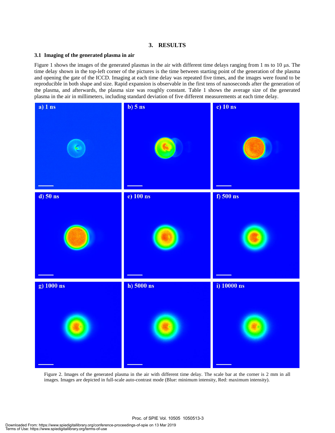#### **3. RESULTS**

#### **3.1 Imaging of the generated plasma in air**

Figure 1 shows the images of the generated plasmas in the air with different time delays ranging from 1 ns to  $10 \mu s$ . The time delay shown in the top-left corner of the pictures is the time between starting point of the generation of the plasma and opening the gate of the ICCD. Imaging at each time delay was repeated five times, and the images were found to be reproducible in both shape and size. Rapid expansion is observable in the first tens of nanoseconds after the generation of the plasma, and afterwards, the plasma size was roughly constant. Table 1 shows the average size of the generated plasma in the air in millimeters, including standard deviation of five different measurements at each time delay.



Figure 2. Images of the generated plasma in the air with different time delay. The scale bar at the corner is 2 mm in all images. Images are depicted in full-scale auto-contrast mode (Blue: minimum intensity, Red: maximum intensity).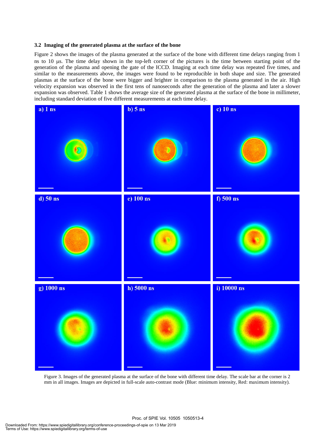#### **3.2 Imaging of the generated plasma at the surface of the bone**

Figure 2 shows the images of the plasma generated at the surface of the bone with different time delays ranging from 1 ns to 10  $\mu$ s. The time delay shown in the top-left corner of the pictures is the time between starting point of the generation of the plasma and opening the gate of the ICCD. Imaging at each time delay was repeated five times, and similar to the measurements above, the images were found to be reproducible in both shape and size. The generated plasmas at the surface of the bone were bigger and brighter in comparison to the plasma generated in the air. High velocity expansion was observed in the first tens of nanoseconds after the generation of the plasma and later a slower expansion was observed. Table 1 shows the average size of the generated plasma at the surface of the bone in millimeter, including standard deviation of five different measurements at each time delay.



Figure 3. Images of the generated plasma at the surface of the bone with different time delay. The scale bar at the corner is 2 mm in all images. Images are depicted in full-scale auto-contrast mode (Blue: minimum intensity, Red: maximum intensity).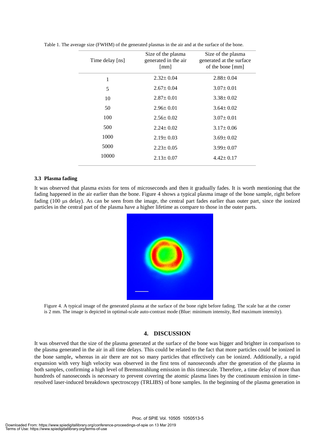| Time delay [ns] | Size of the plasma<br>generated in the air<br>[mm] | Size of the plasma<br>generated at the surface<br>of the bone [mm] |
|-----------------|----------------------------------------------------|--------------------------------------------------------------------|
| 1               | $2.32 \pm 0.04$                                    | $2.88 \pm 0.04$                                                    |
| 5               | $2.67 \pm 0.04$                                    | $3.07 \pm 0.01$                                                    |
| 10              | $2.87 \pm 0.01$                                    | $3.38 \pm 0.02$                                                    |
| 50              | $2.96 \pm 0.01$                                    | $3.64 \pm 0.02$                                                    |
| 100             | $2.56 \pm 0.02$                                    | $3.07 \pm 0.01$                                                    |
| 500             | $2.24 \pm 0.02$                                    | $3.17 \pm 0.06$                                                    |
| 1000            | $2.19 \pm 0.03$                                    | $3.69 \pm 0.02$                                                    |
| 5000            | $2.23 \pm 0.05$                                    | $3.99 \pm 0.07$                                                    |
| 10000           | $2.13 \pm 0.07$                                    | $4.42 \pm 0.17$                                                    |

Table 1. The average size (FWHM) of the generated plasmas in the air and at the surface of the bone.

#### **3.3 Plasma fading**

It was observed that plasma exists for tens of microseconds and then it gradually fades. It is worth mentioning that the fading happened in the air earlier than the bone. Figure 4 shows a typical plasma image of the bone sample, right before fading (100 µs delay). As can be seen from the image, the central part fades earlier than outer part, since the ionized particles in the central part of the plasma have a higher lifetime as compare to those in the outer parts.



Figure 4. A typical image of the generated plasma at the surface of the bone right before fading. The scale bar at the corner is 2 mm. The image is depicted in optimal-scale auto-contrast mode (Blue: minimum intensity, Red maximum intensity).

#### **4. DISCUSSION**

It was observed that the size of the plasma generated at the surface of the bone was bigger and brighter in comparison to the plasma generated in the air in all time delays. This could be related to the fact that more particles could be ionized in the bone sample, whereas in air there are not so many particles that effectively can be ionized. Additionally, a rapid expansion with very high velocity was observed in the first tens of nanoseconds after the generation of the plasma in both samples, confirming a high level of Bremsstrahlung emission in this timescale. Therefore, a time delay of more than hundreds of nanoseconds is necessary to prevent covering the atomic plasma lines by the continuum emission in timeresolved laser-induced breakdown spectroscopy (TRLIBS) of bone samples. In the beginning of the plasma generation in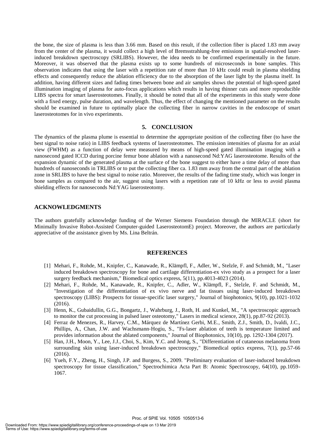the bone, the size of plasma is less than 3.66 mm. Based on this result, if the collection fiber is placed 1.83 mm away from the center of the plasma, it would collect a high level of Bremsstrahlung-free emissions in spatial-resolved laserinduced breakdown spectroscopy (SRLIBS). However, the idea needs to be confirmed experimentally in the future. Moreover, it was observed that the plasma exists up to some hundreds of microseconds in bone samples. This observation indicates that using the laser with a repetition rate of more than 10 kHz could result in plasma shielding effects and consequently reduce the ablation efficiency due to the absorption of the laser light by the plasma itself. In addition, having different sizes and fading times between bone and air samples shows the potential of high-speed gated illumination imaging of plasma for auto-focus applications which results in having thinner cuts and more reproducible LIBS spectra for smart laserosteotomes. Finally, it should be noted that all of the experiments in this study were done with a fixed energy, pulse duration, and wavelength. Thus, the effect of changing the mentioned parameter on the results should be examined in future to optimally place the collecting fiber in narrow cavities in the endoscope of smart laserosteotomes for in vivo experiments.

#### **5. CONCLUSION**

The dynamics of the plasma plume is essential to determine the appropriate position of the collecting fiber (to have the best signal to noise ratio) in LIBS feedback systems of laserosteotomes. The emission intensities of plasma for an axial view (FWHM) as a function of delay were measured by means of high-speed gated illumination imaging with a nanosecond gated ICCD during porcine femur bone ablation with a nanosecond Nd:YAG laserosteotome. Results of the expansion dynamic of the generated plasma at the surface of the bone suggest to either have a time delay of more than hundreds of nanoseconds in TRLIBS or to put the collecting fiber ca. 1.83 mm away from the central part of the ablation zone in SRLIBS to have the best signal to noise ratio. Moreover, the results of the fading time study, which was longer in bone samples as compared to the air, suggest using lasers with a repetition rate of 10 kHz or less to avoid plasma shielding effects for nanoseconds Nd:YAG laserosteotomy.

#### **ACKNOWLEDGMENTS**

The authors gratefully acknowledge funding of the Werner Siemens Foundation through the MIRACLE (short for Minimally Invasive Robot-Assisted Computer-guided LaserosteotomE) project. Moreover, the authors are particularly appreciative of the assistance given by Ms. Lina Beltrán.

#### **REFERENCES**

- [1] Mehari, F., Rohde, M., Knipfer, C., Kanawade, R., Klämpfl, F., Adler, W., Stelzle, F. and Schmidt, M., "Laser induced breakdown spectroscopy for bone and cartilage differentiation-ex vivo study as a prospect for a laser surgery feedback mechanism," Biomedical optics express, 5(11), pp.4013-4023 (2014).
- [2] Mehari, F., Rohde, M., Kanawade, R., Knipfer, C., Adler, W., Klämpfl, F., Stelzle, F. and Schmidt, M., "Investigation of the differentiation of ex vivo nerve and fat tissues using laser‐induced breakdown spectroscopy (LIBS): Prospects for tissue‐specific laser surgery," Journal of biophotonics, 9(10), pp.1021-1032 (2016).
- [3] Henn, K., Gubaidullin, G.G., Bongartz, J., Wahrburg, J., Roth, H. and Kunkel, M., "A spectroscopic approach to monitor the cut processing in pulsed laser osteotomy," Lasers in medical science, 28(1), pp.87-92 (2013).
- [4] Ferraz de Menezes, R., Harvey, C.M., Márquez de Martínez Gerbi, M.E., Smith, Z.J., Smith, D., Ivaldi, J.C., Phillips, A., Chan, J.W. and Wachsmann‐Hogiu, S., "Fs‐laser ablation of teeth is temperature limited and provides information about the ablated components," Journal of Biophotonics, 10(10), pp. 1292-1304 (2017).
- [5] Han, J.H., Moon, Y., Lee, J.J., Choi, S., Kim, Y.C. and Jeong, S., "Differentiation of cutaneous melanoma from surrounding skin using laser-induced breakdown spectroscopy," Biomedical optics express, 7(1), pp.57-66 (2016).
- [6] Yueh, F.Y., Zheng, H., Singh, J.P. and Burgess, S., 2009. "Preliminary evaluation of laser-induced breakdown spectroscopy for tissue classification," Spectrochimica Acta Part B: Atomic Spectroscopy, 64(10), pp.1059- 1067.